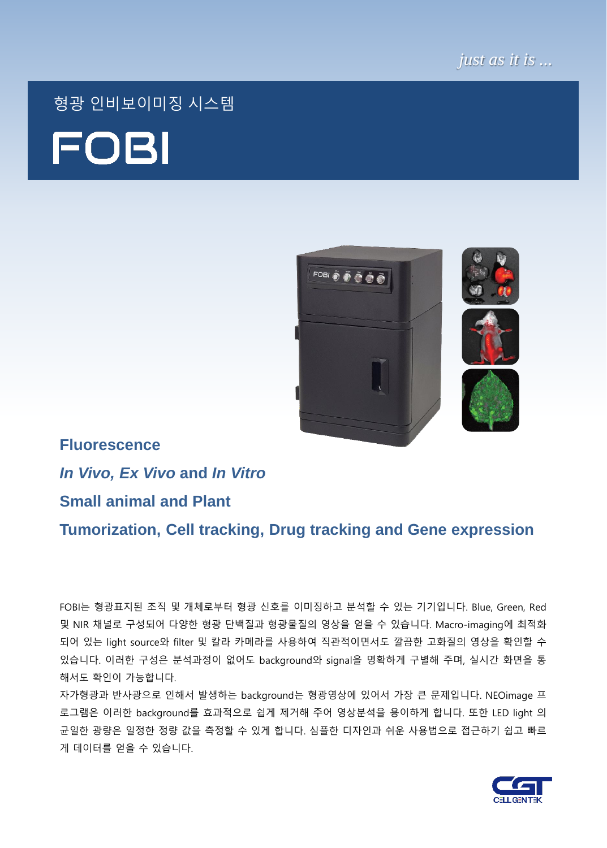

# 형광 인비보이미징 시스템 **FOBI**



# **Fluorescence** *In Vivo, Ex Vivo* **and** *In Vitro* **Small animal and Plant**

**Tumorization, Cell tracking, Drug tracking and Gene expression**

FOBI는 형광표지된 조직 및 개체로부터 형광 신호를 이미징하고 분석할 수 있는 기기입니다. Blue, Green, Red 및 NIR 채널로 구성되어 다양한 형광 단백질과 형광물질의 영상을 얻을 수 있습니다. Macro-imaging에 최적화 되어 있는 light source와 filter 및 칼라 카메라를 사용하여 직관적이면서도 깔끔한 고화질의 영상을 확인할 수 있습니다. 이러한 구성은 분석과정이 없어도 background와 signal을 명확하게 구별해 주며, 실시간 화면을 통 해서도 확인이 가능합니다.

자가형광과 반사광으로 인해서 발생하는 background는 형광영상에 있어서 가장 큰 문제입니다. NEOimage 프 로그램은 이러한 background를 효과적으로 쉽게 제거해 주어 영상분석을 용이하게 합니다. 또한 LED light 의 균일한 광량은 일정한 정량 값을 측정할 수 있게 합니다. 심플한 디자인과 쉬운 사용법으로 접근하기 쉽고 빠르 게 데이터를 얻을 수 있습니다.

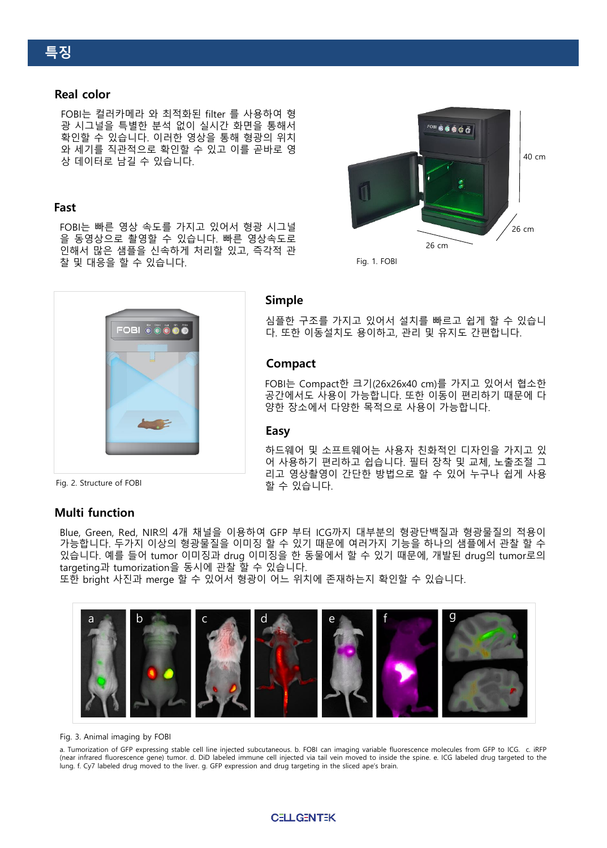#### **Real color**

FOBI는 컬러카메라 와 최적화된 filter 를 사용하여 형 광 시그널을 특별한 분석 없이 실시간 화면을 통해서 확인할 수 있습니다. 이러한 영상을 통해 형광의 위치 와 세기를 직관적으로 확인할 수 있고 이를 곧바로 영 상 데이터로 남길 수 있습니다.

#### **Fast**

FOBI는 빠른 영상 속도를 가지고 있어서 형광 시그널 을 동영상으로 촬영할 수 있습니다. 빠른 영상속도로 인해서 많은 샘플을 신속하게 처리할 있고, 즉각적 관 찰 및 대응을 할 수 있습니다.



Fig. 1. FOBI



#### **Simple**

심플한 구조를 가지고 있어서 설치를 빠르고 쉽게 할 수 있습니 다. 또한 이동설치도 용이하고, 관리 및 유지도 간편합니다.

#### **Compact**

FOBI는 Compact한 크기(26x26x40 cm)를 가지고 있어서 협소한 공간에서도 사용이 가능합니다. 또한 이동이 편리하기 때문에 다 양한 장소에서 다양한 목적으로 사용이 가능합니다.

#### **Easy**

하드웨어 및 소프트웨어는 사용자 친화적인 디자인을 가지고 있 어 사용하기 편리하고 쉽습니다. 필터 장착 및 교체, 노출조절 그 리고 영상촬영이 간단한 방법으로 할 수 있어 누구나 쉽게 사용 할 수 있습니다.

Fig. 2. Structure of FOBI

#### **Multi function**

Blue, Green, Red, NIR의 4개 채널을 이용하여 GFP 부터 ICG까지 대부분의 형광단백질과 형광물질의 적용이 가능합니다. 두가지 이상의 형광물질을 이미징 할 수 있기 때문에 여러가지 기능을 하나의 샘플에서 관찰 할 수 있습니다. 예를 들어 tumor 이미징과 drug 이미징을 한 동물에서 할 수 있기 때문에, 개발된 drug의 tumor로의 targeting과 tumorization을 동시에 관찰 할 수 있습니다.

또한 bright 사진과 merge 할 수 있어서 형광이 어느 위치에 존재하는지 확인할 수 있습니다.



#### Fig. 3. Animal imaging by FOBI

a. Tumorization of GFP expressing stable cell line injected subcutaneous. b. FOBI can imaging variable fluorescence molecules from GFP to ICG. c. iRFP (near infrared fluorescence gene) tumor. d. DiD labeled immune cell injected via tail vein moved to inside the spine. e. ICG labeled drug targeted to the lung. f. Cy7 labeled drug moved to the liver. g. GFP expression and drug targeting in the sliced ape's brain.

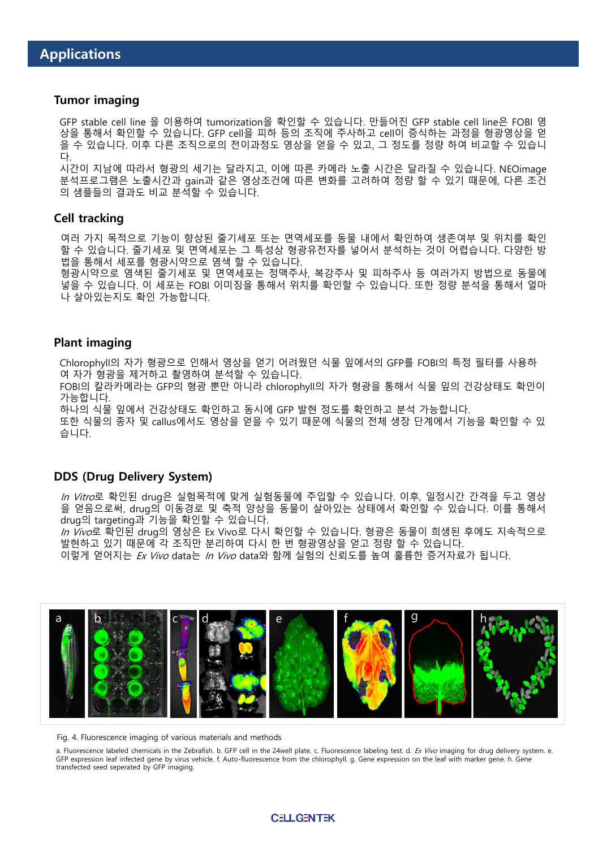#### **Tumor imaging**

GFP stable cell line 을 이용하여 tumorization을 확인할 수 있습니다. 만들어진 GFP stable cell line은 FOBI 영 상을 통해서 확인할 수 있습니다. GFP cell을 피하 등의 조직에 주사하고 cell이 증식하는 과정을 형광영상을 얻 을 수 있습니다. 이후 다른 조직으로의 전이과정도 영상을 얻을 수 있고, 그 정도를 정량 하여 비교할 수 있습니 다.

시간이 지남에 따라서 형광의 세기는 달라지고, 이에 따른 카메라 노출 시간은 달라질 수 있습니다. NEOimage 분석프로그램은 노출시간과 gain과 같은 영상조건에 따른 변화를 고려하여 정량 할 수 있기 때문에, 다른 조건 의 샘플들의 결과도 비교 분석할 수 있습니다.

#### **Cell tracking**

여러 가지 목적으로 기능이 향상된 줄기세포 또는 면역세포를 동물 내에서 확인하여 생존여부 및 위치를 확인 할 수 있습니다. 줄기세포 및 면역세포는 그 특성상 형광유전자를 넣어서 분석하는 것이 어렵습니다. 다양한 방 법을 통해서 세포를 형광시약으로 염색 할 수 있습니다.

형광시약으로 염색된 줄기세포 및 면역세포는 정맥주사, 복강주사 및 피하주사 등 여러가지 방법으로 동물에 넣을 수 있습니다. 이 세포는 FOBI 이미징을 통해서 위치를 확인할 수 있습니다. 또한 정량 분석을 통해서 얼마 나 살아있는지도 확인 가능합니다.

#### **Plant imaging**

Chlorophyll의 자가 형광으로 인해서 영상을 얻기 어려웠던 식물 잎에서의 GFP를 FOBI의 특정 필터를 사용하 여 자가 형광을 제거하고 촬영하여 분석할 수 있습니다.

FOBI의 칼라카메라는 GFP의 형광 뿐만 아니라 chlorophyll의 자가 형광을 통해서 식물 잎의 건강상태도 확인이 가능합니다.

하나의 식물 잎에서 건강상태도 확인하고 동시에 GFP 발현 정도를 확인하고 분석 가능합니다.

또한 식물의 종자 및 callus에서도 영상을 얻을 수 있기 때문에 식물의 전체 생장 단계에서 기능을 확인할 수 있 습니다.

#### **DDS (Drug Delivery System)**

In Vitro로 확인된 drug은 실험목적에 맞게 실험동물에 주입할 수 있습니다. 이후, 일정시간 간격을 두고 영상 을 얻음으로써, drug의 이동경로 및 축적 양상을 동물이 살아있는 상태에서 확인할 수 있습니다. 이를 통해서 drug의 targeting과 기능을 확인할 수 있습니다.

In Vivo로 확인된 drug의 영상은 Ex Vivo로 다시 확인할 수 있습니다. 형광은 동물이 희생된 후에도 지속적으로 발현하고 있기 때문에 각 조직만 분리하여 다시 한 번 형광영상을 얻고 정량 할 수 있습니다.

이렇게 얻어지는 Ex Vivo data는 In Vivo data와 함께 실험의 신뢰도를 높여 훌륭한 증거자료가 됩니다.



Fig. 4. Fluorescence imaging of various materials and methods

a. Fluorescence labeled chemicals in the Zebrafish. b. GFP cell in the 24well plate. c. Fluorescence labeling test. d. Ex Vivo imaging for drug delivery system. e. GFP expression leaf infected gene by virus vehicle. f. Auto-fluorescence from the chlorophyll. g. Gene expression on the leaf with marker gene. h. Gene transfected seed seperated by GFP imaging.

#### **CELL GENTEK**